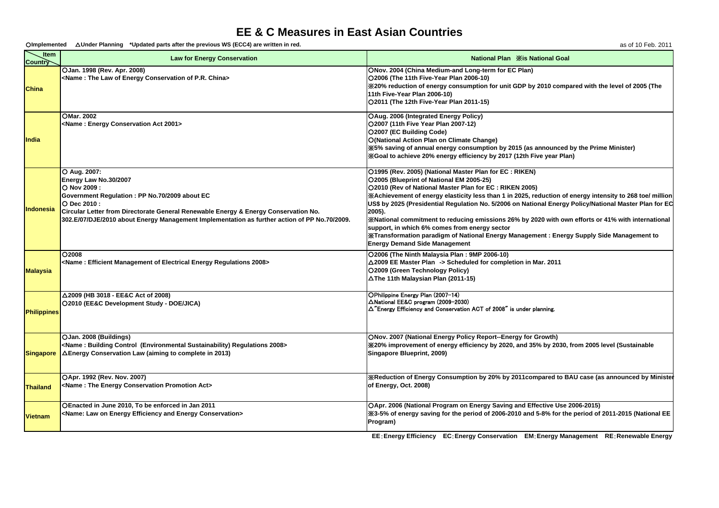## **EE & C Measures in East Asian Countries**

○**Implemented** △**Under Planning \*Updated parts after the previous WS (ECC4) are written in red.** as of 10 Feb. 2011

| Item<br><b>Country</b> | <b>Law for Energy Conservation</b>                                                                                                                                                                                                                                                                            | <b>National Plan Xis National Goal</b>                                                                                                                                                                                                                                                                                                                                                                                                                                                                                                                                                                                                                                                  |
|------------------------|---------------------------------------------------------------------------------------------------------------------------------------------------------------------------------------------------------------------------------------------------------------------------------------------------------------|-----------------------------------------------------------------------------------------------------------------------------------------------------------------------------------------------------------------------------------------------------------------------------------------------------------------------------------------------------------------------------------------------------------------------------------------------------------------------------------------------------------------------------------------------------------------------------------------------------------------------------------------------------------------------------------------|
| China                  | OJan. 1998 (Rev. Apr. 2008)<br><name: china="" conservation="" energy="" law="" of="" p.r.="" the=""></name:>                                                                                                                                                                                                 | ONov. 2004 (China Medium-and Long-term for EC Plan)<br>O2006 (The 11th Five-Year Plan 2006-10)<br>X20% reduction of energy consumption for unit GDP by 2010 compared with the level of 2005 (The<br>11th Five-Year Plan 2006-10)<br>O2011 (The 12th Five-Year Plan 2011-15)                                                                                                                                                                                                                                                                                                                                                                                                             |
| India                  | OMar. 2002<br><name: 2001="" act="" conservation="" energy=""></name:>                                                                                                                                                                                                                                        | OAug. 2006 (Integrated Energy Policy)<br>O2007 (11th Five Year Plan 2007-12)<br>O2007 (EC Building Code)<br>O(National Action Plan on Climate Change)<br>X5% saving of annual energy consumption by 2015 (as announced by the Prime Minister)<br>X Goal to achieve 20% energy efficiency by 2017 (12th Five year Plan)                                                                                                                                                                                                                                                                                                                                                                  |
| <b>Indonesia</b>       | O Aug. 2007:<br>Energy Law No.30/2007<br>O Nov 2009:<br>Government Regulation : PP No.70/2009 about EC<br>O Dec 2010 :<br>Circular Letter from Directorate General Renewable Energy & Energy Conservation No.<br>302.E/07/DJE/2010 about Energy Management Implementation as further action of PP No.70/2009. | O1995 (Rev. 2005) (National Master Plan for EC: RIKEN)<br>O2005 (Blueprint of National EM 2005-25)<br>O2010 (Rev of National Master Plan for EC: RIKEN 2005)<br>XAchievement of energy elasticity less than 1 in 2025, reduction of energy intensity to 268 toe/ million<br>US\$ by 2025 (Presidential Regulation No. 5/2006 on National Energy Policy/National Master Plan for EC<br>2005).<br>XNational commitment to reducing emissions 26% by 2020 with own efforts or 41% with international<br>support, in which 6% comes from energy sector<br>XTransformation paradigm of National Energy Management : Energy Supply Side Management to<br><b>Energy Demand Side Management</b> |
| <b>Malaysia</b>        | O2008<br><name: 2008="" efficient="" electrical="" energy="" management="" of="" regulations=""></name:>                                                                                                                                                                                                      | O2006 (The Ninth Malaysia Plan: 9MP 2006-10)<br>△2009 EE Master Plan -> Scheduled for completion in Mar. 2011<br>O2009 (Green Technology Policy)<br>△The 11th Malaysian Plan (2011-15)                                                                                                                                                                                                                                                                                                                                                                                                                                                                                                  |
| <b>Philippines</b>     | △2009 (HB 3018 - EE&C Act of 2008)<br>O2010 (EE&C Development Study - DOE/JICA)                                                                                                                                                                                                                               | OPhilippine Energy Plan (2007-14)<br>△National EE&C program (2009-2030)<br>$\Delta$ "Energy Efficiency and Conservation ACT of 2008" is under planning.                                                                                                                                                                                                                                                                                                                                                                                                                                                                                                                                 |
|                        | OJan. 2008 (Buildings)<br><name: (environmental="" 2008="" building="" control="" regulations="" sustainability)=""><br/><b>Singapore</b> <math>\Delta</math> Energy Conservation Law (aiming to complete in 2013)</name:>                                                                                    | ONov. 2007 (National Energy Policy Report--Energy for Growth)<br>X20% improvement of energy efficiency by 2020, and 35% by 2030, from 2005 level (Sustainable<br>Singapore Blueprint, 2009)                                                                                                                                                                                                                                                                                                                                                                                                                                                                                             |
| <b>Thailand</b>        | OApr. 1992 (Rev. Nov. 2007)<br><name: act="" conservation="" energy="" promotion="" the=""></name:>                                                                                                                                                                                                           | <b>XReduction of Energy Consumption by 20% by 2011compared to BAU case (as announced by Minister</b><br>of Energy, Oct. 2008)                                                                                                                                                                                                                                                                                                                                                                                                                                                                                                                                                           |
| <b>Vietnam</b>         | OEnacted in June 2010, To be enforced in Jan 2011<br><name: and="" conservation="" efficiency="" energy="" law="" on=""></name:>                                                                                                                                                                              | OApr. 2006 (National Program on Energy Saving and Effective Use 2006-2015)<br>X3-5% of energy saving for the period of 2006-2010 and 5-8% for the period of 2011-2015 (National EE<br>Program)                                                                                                                                                                                                                                                                                                                                                                                                                                                                                          |

**EE**:**Energy Efficiency EC**:**Energy Conservation EM**:**Energy Management RE**:**Renewable Energy**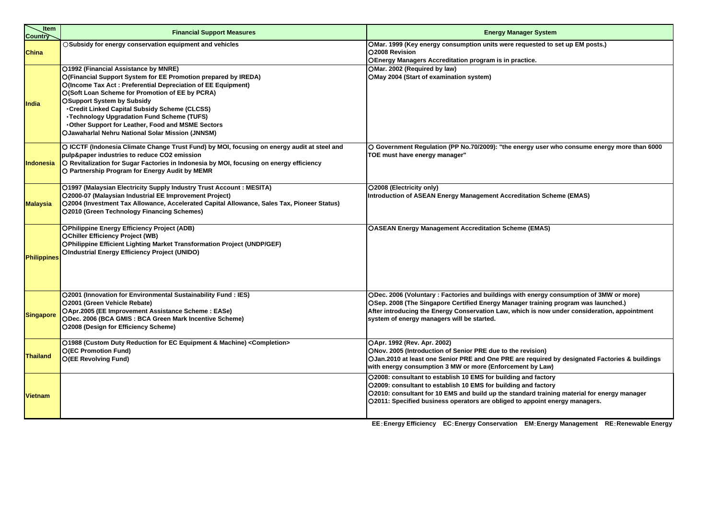| Liter<br>Country<br>_Item | <b>Financial Support Measures</b>                                                                                                                                                                                                                                                                                                                                                                                                                                                      | <b>Energy Manager System</b>                                                                                                                                                                                                                                                                                               |
|---------------------------|----------------------------------------------------------------------------------------------------------------------------------------------------------------------------------------------------------------------------------------------------------------------------------------------------------------------------------------------------------------------------------------------------------------------------------------------------------------------------------------|----------------------------------------------------------------------------------------------------------------------------------------------------------------------------------------------------------------------------------------------------------------------------------------------------------------------------|
| China                     | ○Subsidy for energy conservation equipment and vehicles                                                                                                                                                                                                                                                                                                                                                                                                                                | OMar. 1999 (Key energy consumption units were requested to set up EM posts.)<br>O2008 Revision<br>OEnergy Managers Accreditation program is in practice.                                                                                                                                                                   |
| India                     | O1992 (Financial Assistance by MNRE)<br>O(Financial Support System for EE Promotion prepared by IREDA)<br>O(Income Tax Act: Preferential Depreciation of EE Equipment)<br>O(Soft Loan Scheme for Promotion of EE by PCRA)<br><b>OSupport System by Subsidy</b><br><b>. Credit Linked Capital Subsidy Scheme (CLCSS)</b><br><b>·Technology Upgradation Fund Scheme (TUFS)</b><br>. Other Support for Leather, Food and MSME Sectors<br>OJawaharlal Nehru National Solar Mission (JNNSM) | OMar. 2002 (Required by law)<br>OMay 2004 (Start of examination system)                                                                                                                                                                                                                                                    |
| <b>Indonesia</b>          | O ICCTF (Indonesia Climate Change Trust Fund) by MOI, focusing on energy audit at steel and<br>pulp&paper industries to reduce CO2 emission<br>O Revitalization for Sugar Factories in Indonesia by MOI, focusing on energy efficiency<br>O Partnership Program for Energy Audit by MEMR                                                                                                                                                                                               | O Government Regulation (PP No.70/2009): "the energy user who consume energy more than 6000<br>TOE must have energy manager"                                                                                                                                                                                               |
| <b>Malaysia</b>           | O1997 (Malaysian Electricity Supply Industry Trust Account: MESITA)<br>O2000-07 (Malaysian Industrial EE Improvement Project)<br>O2004 (Investment Tax Allowance, Accelerated Capital Allowance, Sales Tax, Pioneer Status)<br>O2010 (Green Technology Financing Schemes)                                                                                                                                                                                                              | O2008 (Electricity only)<br>Introduction of ASEAN Energy Management Accreditation Scheme (EMAS)                                                                                                                                                                                                                            |
| <b>Philippines</b>        | <b>OPhilippine Energy Efficiency Project (ADB)</b><br><b>OChiller Efficiency Project (WB)</b><br><b>OPhilippine Efficient Lighting Market Transformation Project (UNDP/GEF)</b><br><b>OIndustrial Energy Efficiency Project (UNIDO)</b>                                                                                                                                                                                                                                                | <b>OASEAN Energy Management Accreditation Scheme (EMAS)</b>                                                                                                                                                                                                                                                                |
| <b>Singapore</b>          | <b>O2001 (Innovation for Environmental Sustainability Fund: IES)</b><br>O2001 (Green Vehicle Rebate)<br>OApr.2005 (EE Improvement Assistance Scheme: EASe)<br>ODec. 2006 (BCA GMIS: BCA Green Mark Incentive Scheme)<br>O2008 (Design for Efficiency Scheme)                                                                                                                                                                                                                           | ODec. 2006 (Voluntary: Factories and buildings with energy consumption of 3MW or more)<br>OSep. 2008 (The Singapore Certified Energy Manager training program was launched.)<br>After introducing the Energy Conservation Law, which is now under consideration, appointment<br>system of energy managers will be started. |
| <b>Thailand</b>           | O1988 (Custom Duty Reduction for EC Equipment & Machine) < Completion><br><b>O(EC Promotion Fund)</b><br><b>O(EE Revolving Fund)</b>                                                                                                                                                                                                                                                                                                                                                   | OApr. 1992 (Rev. Apr. 2002)<br>ONov. 2005 (Introduction of Senior PRE due to the revision)<br>OJan.2010 at least one Senior PRE and One PRE are required by designated Factories & buildings<br>with energy consumption 3 MW or more (Enforcement by Law)                                                                  |
| <b>Vietnam</b>            |                                                                                                                                                                                                                                                                                                                                                                                                                                                                                        | O2008: consultant to establish 10 EMS for building and factory<br>O2009: consultant to establish 10 EMS for building and factory<br>O2010: consultant for 10 EMS and build up the standard training material for energy manager<br>O2011: Specified business operators are obliged to appoint energy managers.             |
|                           |                                                                                                                                                                                                                                                                                                                                                                                                                                                                                        | <b>FRIDAY AND FULLY</b><br><b>FOR FULLWAY OF PROPERTY</b><br><b>PAR PART</b><br><b>DE B.J</b>                                                                                                                                                                                                                              |

**EE**:**Energy Efficiency EC**:**Energy Conservation EM**:**Energy Management RE**:**Renewable Energy**